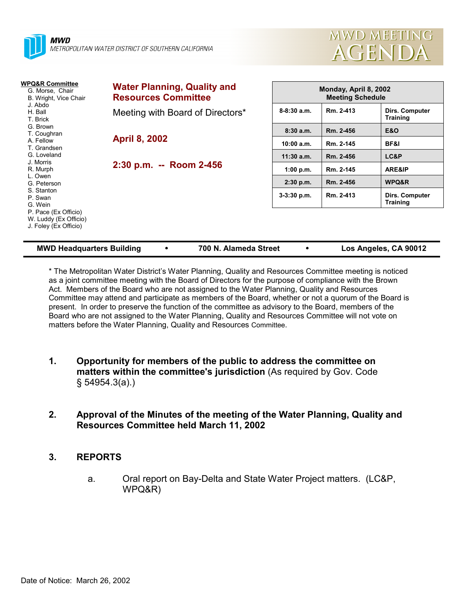



| WPQ&R Committee<br>G. Morse, Chair<br>B. Wright, Vice Chair<br>J. Abdo<br>H. Ball<br>T. Brick | <b>Water Planning, Quality and</b><br><b>Resources Committee</b> |                 | Monday, April 8, 2002<br><b>Meeting Schedule</b> |                                   |  |  |
|-----------------------------------------------------------------------------------------------|------------------------------------------------------------------|-----------------|--------------------------------------------------|-----------------------------------|--|--|
|                                                                                               | Meeting with Board of Directors*                                 | $8 - 8:30$ a.m. | Rm. 2-413                                        | Dirs. Computer<br><b>Training</b> |  |  |
| G. Brown<br>T. Coughran                                                                       |                                                                  | 8:30a.m.        | Rm. 2-456                                        | <b>E&amp;O</b>                    |  |  |
| A. Fellow<br>T. Grandsen                                                                      | <b>April 8, 2002</b>                                             | 10:00 a.m.      | Rm. 2-145                                        | BF&I                              |  |  |
| G. Loveland                                                                                   |                                                                  | $11:30$ a.m.    | Rm. 2-456                                        | LC&P                              |  |  |
| J. Morris<br>R. Murph                                                                         | 2:30 p.m. -- Room 2-456                                          | 1:00 p.m.       | Rm. 2-145                                        | ARE&IP                            |  |  |
| L. Owen<br>G. Peterson                                                                        |                                                                  | 2:30 p.m.       | Rm. 2-456                                        | WPQ&R                             |  |  |
| S. Stanton<br>P. Swan<br>G. Wein                                                              |                                                                  | $3-3:30$ p.m.   | Rm. 2-413                                        | Dirs. Computer<br><b>Training</b> |  |  |
| P. Pace (Ex Officio)<br>W. Luddy (Ex Officio)<br>J. Foley (Ex Officio)                        |                                                                  |                 |                                                  |                                   |  |  |

| <b>MWD Headquarters Building</b> |  | 700 N. Alameda Street |  | Los Angeles, CA 90012 |
|----------------------------------|--|-----------------------|--|-----------------------|
|----------------------------------|--|-----------------------|--|-----------------------|

\* The Metropolitan Water District's Water Planning, Quality and Resources Committee meeting is noticed as a joint committee meeting with the Board of Directors for the purpose of compliance with the Brown Act. Members of the Board who are not assigned to the Water Planning, Quality and Resources Committee may attend and participate as members of the Board, whether or not a quorum of the Board is present. In order to preserve the function of the committee as advisory to the Board, members of the Board who are not assigned to the Water Planning, Quality and Resources Committee will not vote on matters before the Water Planning, Quality and Resources Committee.

- **1. Opportunity for members of the public to address the committee on matters within the committee's jurisdiction** (As required by Gov. Code § 54954.3(a).)
- **2. Approval of the Minutes of the meeting of the Water Planning, Quality and Resources Committee held March 11, 2002**

# **3. REPORTS**

a. Oral report on Bay-Delta and State Water Project matters. (LC&P, WPQ&R)